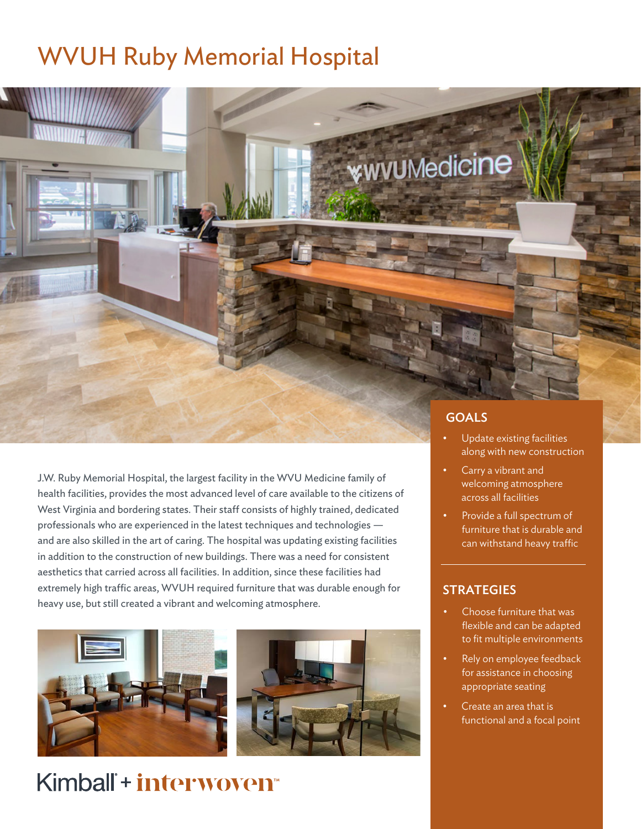## WVUH Ruby Memorial Hospital







### Kimball<sup>+</sup> interwoven<sup>®</sup>

#### GOALS

**\*wvu**Medicine

- Update existing facilities along with new construction
- Carry a vibrant and welcoming atmosphere across all facilities
- Provide a full spectrum of furniture that is durable and can withstand heavy traffic

#### **STRATEGIES**

- Choose furniture that was flexible and can be adapted to fit multiple environments
- Rely on employee feedback for assistance in choosing appropriate seating
- Create an area that is functional and a focal point